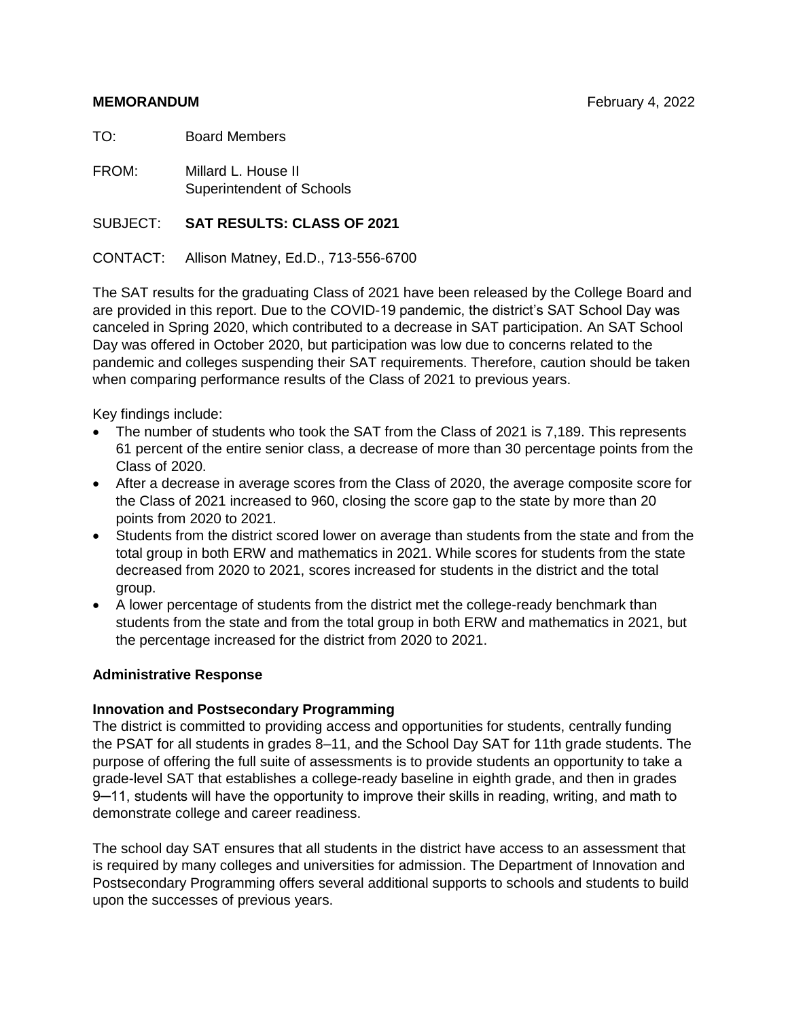TO: Board Members

FROM: Millard L. House II Superintendent of Schools

#### SUBJECT: **SAT RESULTS: CLASS OF 2021**

CONTACT: Allison Matney, Ed.D., 713-556-6700

The SAT results for the graduating Class of 2021 have been released by the College Board and are provided in this report. Due to the COVID-19 pandemic, the district's SAT School Day was canceled in Spring 2020, which contributed to a decrease in SAT participation. An SAT School Day was offered in October 2020, but participation was low due to concerns related to the pandemic and colleges suspending their SAT requirements. Therefore, caution should be taken when comparing performance results of the Class of 2021 to previous years.

Key findings include:

- The number of students who took the SAT from the Class of 2021 is 7,189. This represents 61 percent of the entire senior class, a decrease of more than 30 percentage points from the Class of 2020.
- After a decrease in average scores from the Class of 2020, the average composite score for the Class of 2021 increased to 960, closing the score gap to the state by more than 20 points from 2020 to 2021.
- Students from the district scored lower on average than students from the state and from the total group in both ERW and mathematics in 2021. While scores for students from the state decreased from 2020 to 2021, scores increased for students in the district and the total group.
- A lower percentage of students from the district met the college-ready benchmark than students from the state and from the total group in both ERW and mathematics in 2021, but the percentage increased for the district from 2020 to 2021.

#### **Administrative Response**

#### **Innovation and Postsecondary Programming**

The district is committed to providing access and opportunities for students, centrally funding the PSAT for all students in grades 8–11, and the School Day SAT for 11th grade students. The purpose of offering the full suite of assessments is to provide students an opportunity to take a grade-level SAT that establishes a college-ready baseline in eighth grade, and then in grades 9—11, students will have the opportunity to improve their skills in reading, writing, and math to demonstrate college and career readiness.

The school day SAT ensures that all students in the district have access to an assessment that is required by many colleges and universities for admission. The Department of Innovation and Postsecondary Programming offers several additional supports to schools and students to build upon the successes of previous years.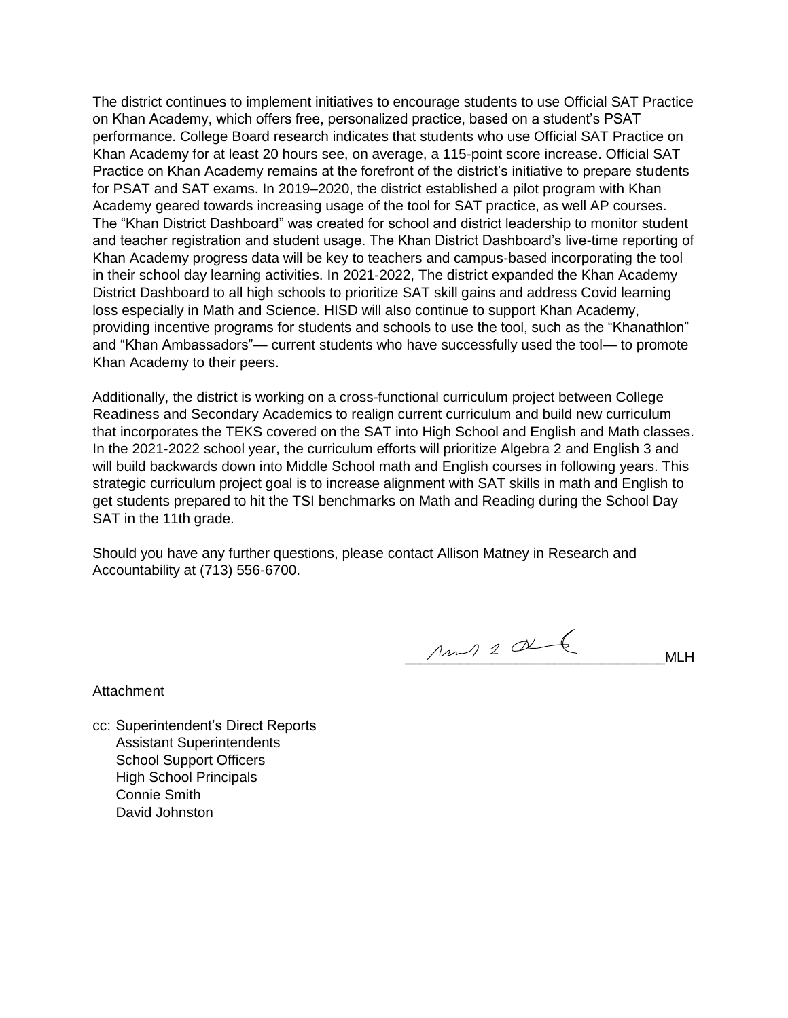The district continues to implement initiatives to encourage students to use Official SAT Practice on Khan Academy, which offers free, personalized practice, based on a student's PSAT performance. College Board research indicates that students who use Official SAT Practice on Khan Academy for at least 20 hours see, on average, a 115-point score increase. Official SAT Practice on Khan Academy remains at the forefront of the district's initiative to prepare students for PSAT and SAT exams. In 2019–2020, the district established a pilot program with Khan Academy geared towards increasing usage of the tool for SAT practice, as well AP courses. The "Khan District Dashboard" was created for school and district leadership to monitor student and teacher registration and student usage. The Khan District Dashboard's live-time reporting of Khan Academy progress data will be key to teachers and campus-based incorporating the tool in their school day learning activities. In 2021-2022, The district expanded the Khan Academy District Dashboard to all high schools to prioritize SAT skill gains and address Covid learning loss especially in Math and Science. HISD will also continue to support Khan Academy, providing incentive programs for students and schools to use the tool, such as the "Khanathlon" and "Khan Ambassadors"— current students who have successfully used the tool— to promote Khan Academy to their peers.

Additionally, the district is working on a cross-functional curriculum project between College Readiness and Secondary Academics to realign current curriculum and build new curriculum that incorporates the TEKS covered on the SAT into High School and English and Math classes. In the 2021-2022 school year, the curriculum efforts will prioritize Algebra 2 and English 3 and will build backwards down into Middle School math and English courses in following years. This strategic curriculum project goal is to increase alignment with SAT skills in math and English to get students prepared to hit the TSI benchmarks on Math and Reading during the School Day SAT in the 11th grade.

Should you have any further questions, please contact Allison Matney in Research and Accountability at (713) 556-6700.

 $\mu \sim 2 \alpha$ 

Attachment

cc: Superintendent's Direct Reports Assistant Superintendents School Support Officers High School Principals Connie Smith David Johnston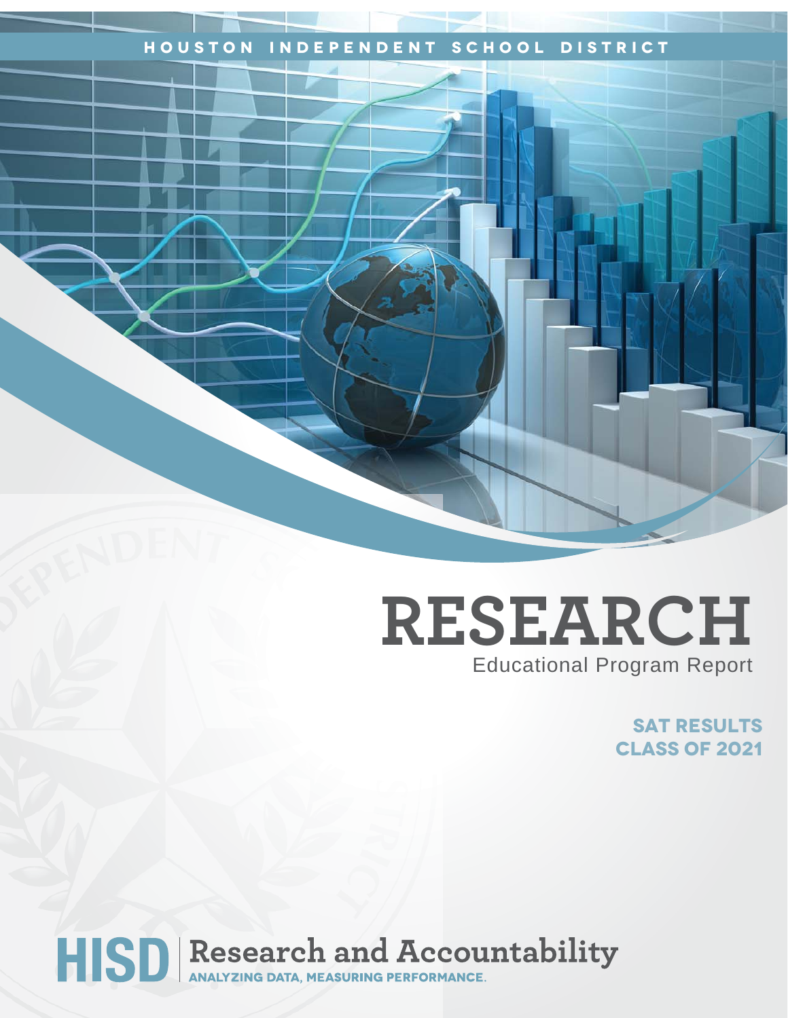# **Houston Independent School District**

# **RESEARCH** Educational Program Report

**SAT RESULTS Class of 2021**

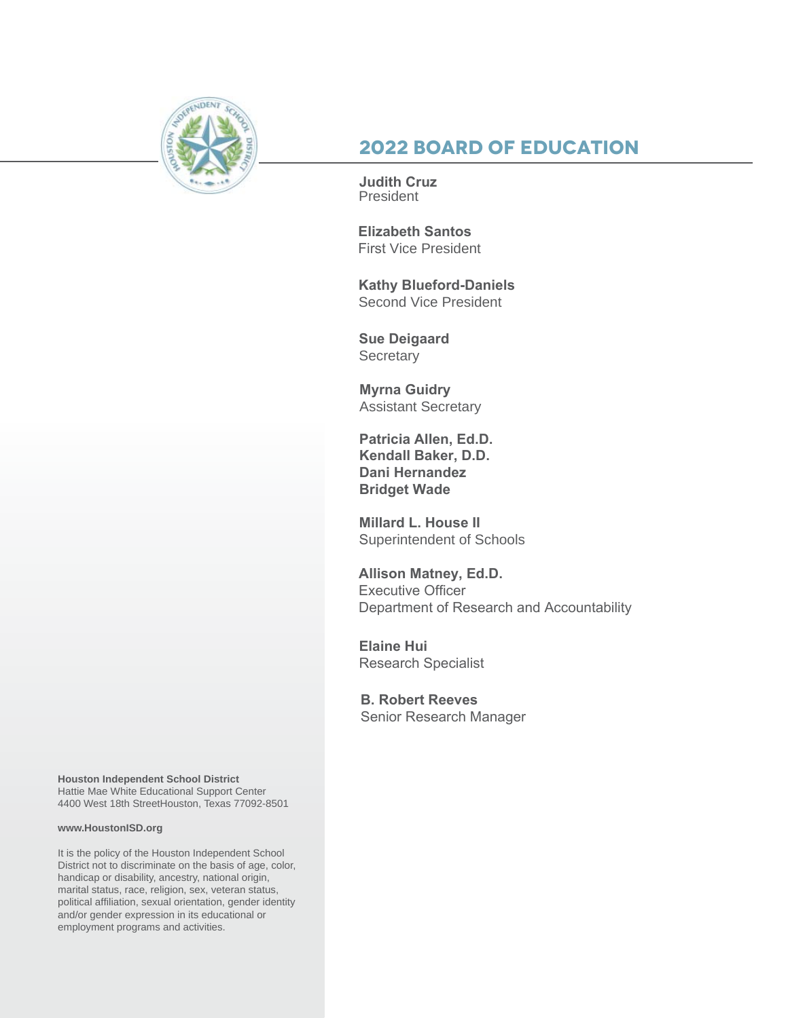

# **2022 Board of Education**

**Judith Cruz** President

**Elizabeth Santos**  First Vice President

**Kathy Blueford-Daniels**  Second Vice President

**Sue Deigaard Secretary** 

**Myrna Guidry** Assistant Secretary

**Patricia Allen, Ed.D. Kendall Baker, D.D. Dani Hernandez Bridget Wade**

**Millard L. House II** Superintendent of Schools

**Allison Matney, Ed.D.** Executive Officer Department of Research and Accountability

**Elaine Hui** Research Specialist

**B. Robert Reeves** Senior Research Manager

**Houston Independent School District** Hattie Mae White Educational Support Center 4400 West 18th StreetHouston, Texas 77092-8501

#### **www.HoustonISD.org**

It is the policy of the Houston Independent School District not to discriminate on the basis of age, color, handicap or disability, ancestry, national origin, marital status, race, religion, sex, veteran status, political affiliation, sexual orientation, gender identity and/or gender expression in its educational or employment programs and activities.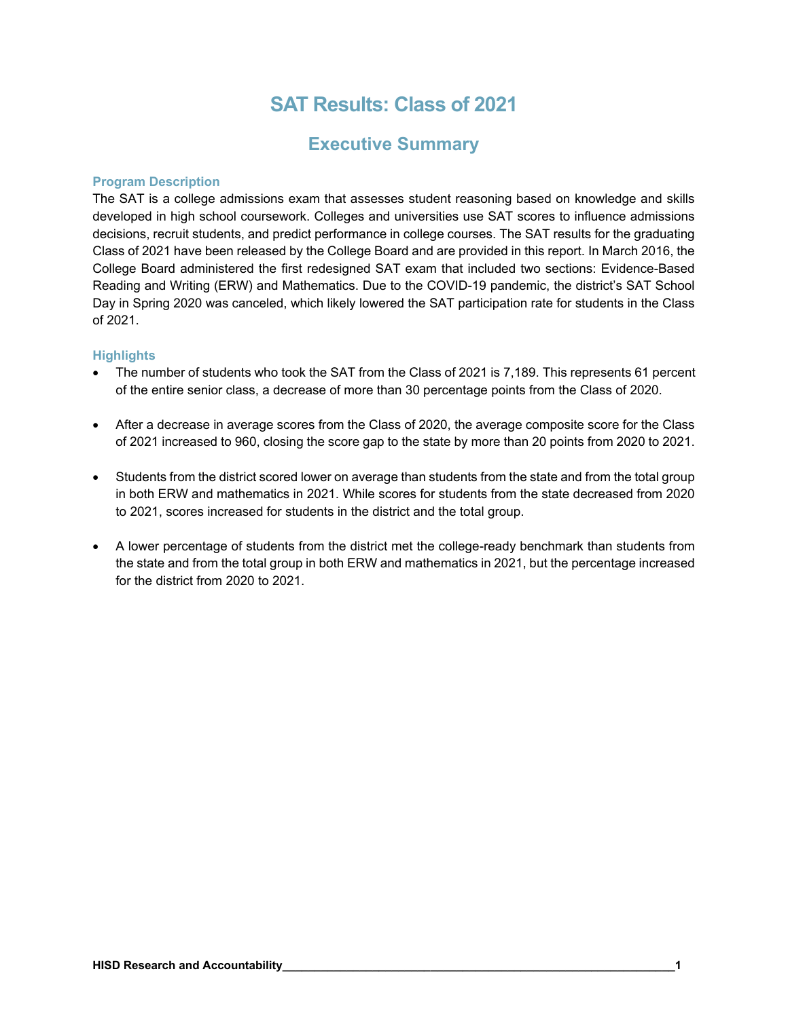# **SAT Results: Class of 2021**

## **Executive Summary**

#### **Program Description**

The SAT is a college admissions exam that assesses student reasoning based on knowledge and skills developed in high school coursework. Colleges and universities use SAT scores to influence admissions decisions, recruit students, and predict performance in college courses. The SAT results for the graduating Class of 2021 have been released by the College Board and are provided in this report. In March 2016, the College Board administered the first redesigned SAT exam that included two sections: Evidence-Based Reading and Writing (ERW) and Mathematics. Due to the COVID-19 pandemic, the district's SAT School Day in Spring 2020 was canceled, which likely lowered the SAT participation rate for students in the Class of 2021.

#### **Highlights**

- The number of students who took the SAT from the Class of 2021 is 7,189. This represents 61 percent of the entire senior class, a decrease of more than 30 percentage points from the Class of 2020.
- After a decrease in average scores from the Class of 2020, the average composite score for the Class of 2021 increased to 960, closing the score gap to the state by more than 20 points from 2020 to 2021.
- Students from the district scored lower on average than students from the state and from the total group in both ERW and mathematics in 2021. While scores for students from the state decreased from 2020 to 2021, scores increased for students in the district and the total group.
- A lower percentage of students from the district met the college-ready benchmark than students from the state and from the total group in both ERW and mathematics in 2021, but the percentage increased for the district from 2020 to 2021.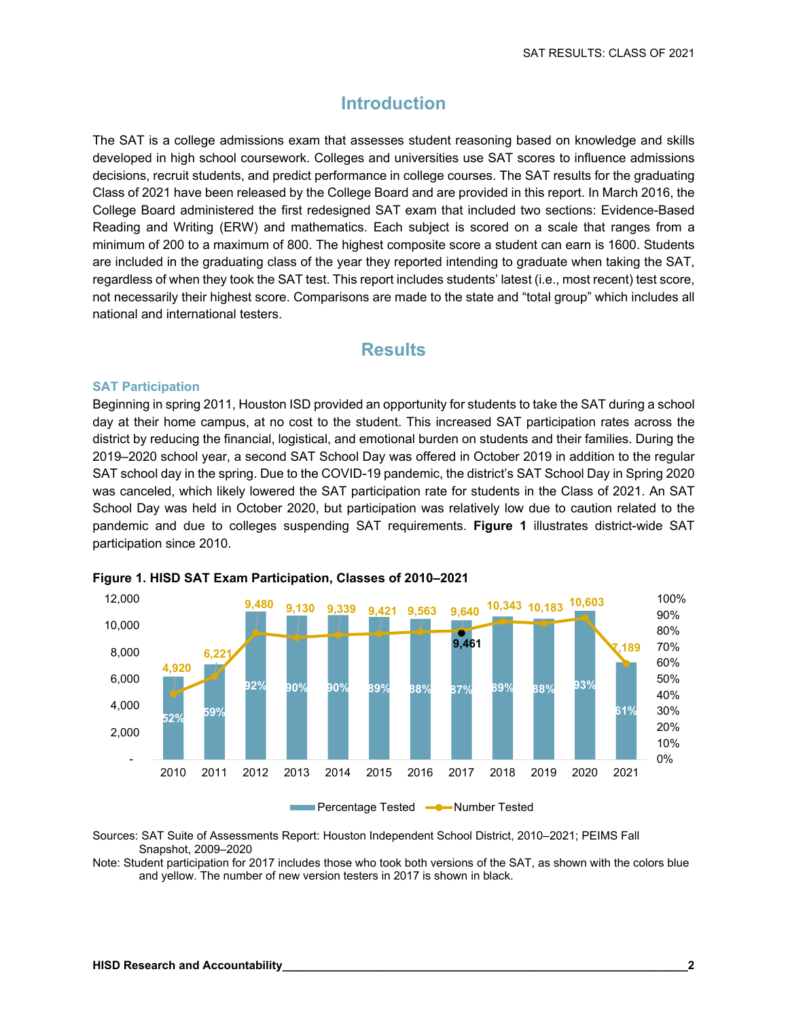### **Introduction**

The SAT is a college admissions exam that assesses student reasoning based on knowledge and skills developed in high school coursework. Colleges and universities use SAT scores to influence admissions decisions, recruit students, and predict performance in college courses. The SAT results for the graduating Class of 2021 have been released by the College Board and are provided in this report. In March 2016, the College Board administered the first redesigned SAT exam that included two sections: Evidence-Based Reading and Writing (ERW) and mathematics. Each subject is scored on a scale that ranges from a minimum of 200 to a maximum of 800. The highest composite score a student can earn is 1600. Students are included in the graduating class of the year they reported intending to graduate when taking the SAT, regardless of when they took the SAT test. This report includes students' latest (i.e., most recent) test score, not necessarily their highest score. Comparisons are made to the state and "total group" which includes all national and international testers.

### **Results**

#### **SAT Participation**

Beginning in spring 2011, Houston ISD provided an opportunity for students to take the SAT during a school day at their home campus, at no cost to the student. This increased SAT participation rates across the district by reducing the financial, logistical, and emotional burden on students and their families. During the 2019–2020 school year, a second SAT School Day was offered in October 2019 in addition to the regular SAT school day in the spring. Due to the COVID-19 pandemic, the district's SAT School Day in Spring 2020 was canceled, which likely lowered the SAT participation rate for students in the Class of 2021. An SAT School Day was held in October 2020, but participation was relatively low due to caution related to the pandemic and due to colleges suspending SAT requirements. **Figure 1** illustrates district-wide SAT participation since 2010.



#### **Figure 1. HISD SAT Exam Participation, Classes of 2010–2021**

Sources: SAT Suite of Assessments Report: Houston Independent School District, 2010–2021; PEIMS Fall Snapshot, 2009–2020

Note: Student participation for 2017 includes those who took both versions of the SAT, as shown with the colors blue and yellow. The number of new version testers in 2017 is shown in black.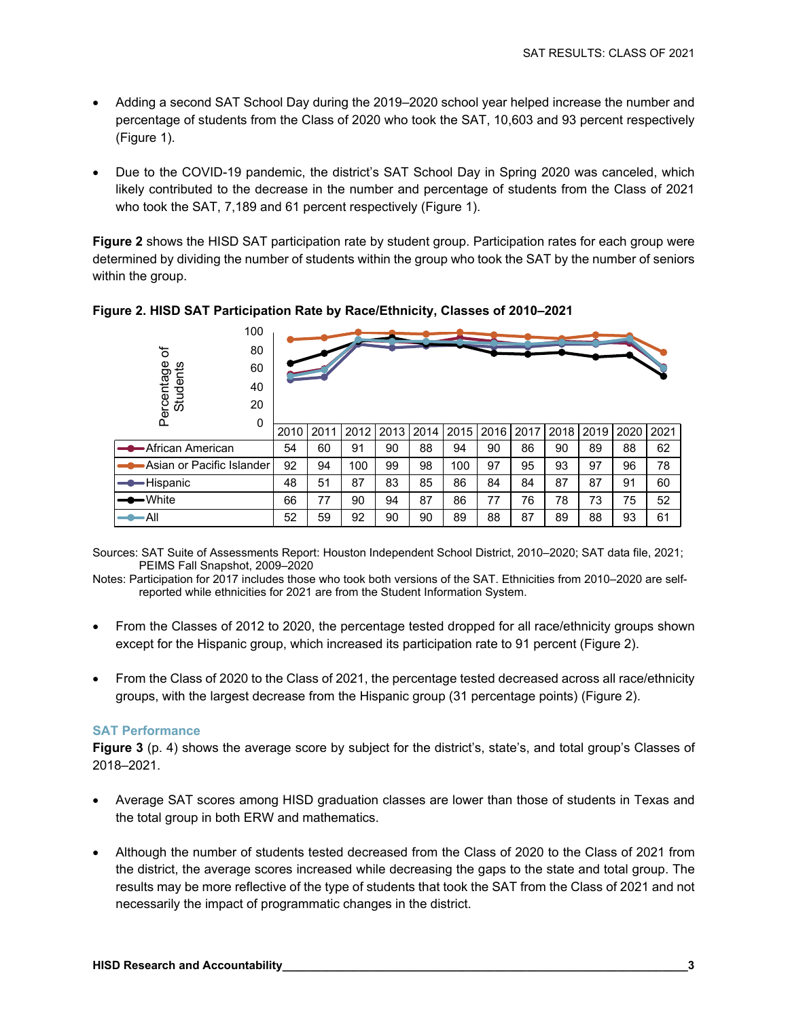- Adding a second SAT School Day during the 2019–2020 school year helped increase the number and percentage of students from the Class of 2020 who took the SAT, 10,603 and 93 percent respectively (Figure 1).
- Due to the COVID-19 pandemic, the district's SAT School Day in Spring 2020 was canceled, which likely contributed to the decrease in the number and percentage of students from the Class of 2021 who took the SAT, 7,189 and 61 percent respectively (Figure 1).

**Figure 2** shows the HISD SAT participation rate by student group. Participation rates for each group were determined by dividing the number of students within the group who took the SAT by the number of seniors within the group.



#### **Figure 2. HISD SAT Participation Rate by Race/Ethnicity, Classes of 2010–2021**

Sources: SAT Suite of Assessments Report: Houston Independent School District, 2010–2020; SAT data file, 2021; PEIMS Fall Snapshot, 2009–2020

Notes: Participation for 2017 includes those who took both versions of the SAT. Ethnicities from 2010–2020 are selfreported while ethnicities for 2021 are from the Student Information System.

- From the Classes of 2012 to 2020, the percentage tested dropped for all race/ethnicity groups shown except for the Hispanic group, which increased its participation rate to 91 percent (Figure 2).
- From the Class of 2020 to the Class of 2021, the percentage tested decreased across all race/ethnicity groups, with the largest decrease from the Hispanic group (31 percentage points) (Figure 2).

#### **SAT Performance**

**Figure 3** (p. 4) shows the average score by subject for the district's, state's, and total group's Classes of 2018–2021.

- Average SAT scores among HISD graduation classes are lower than those of students in Texas and the total group in both ERW and mathematics.
- Although the number of students tested decreased from the Class of 2020 to the Class of 2021 from the district, the average scores increased while decreasing the gaps to the state and total group. The results may be more reflective of the type of students that took the SAT from the Class of 2021 and not necessarily the impact of programmatic changes in the district.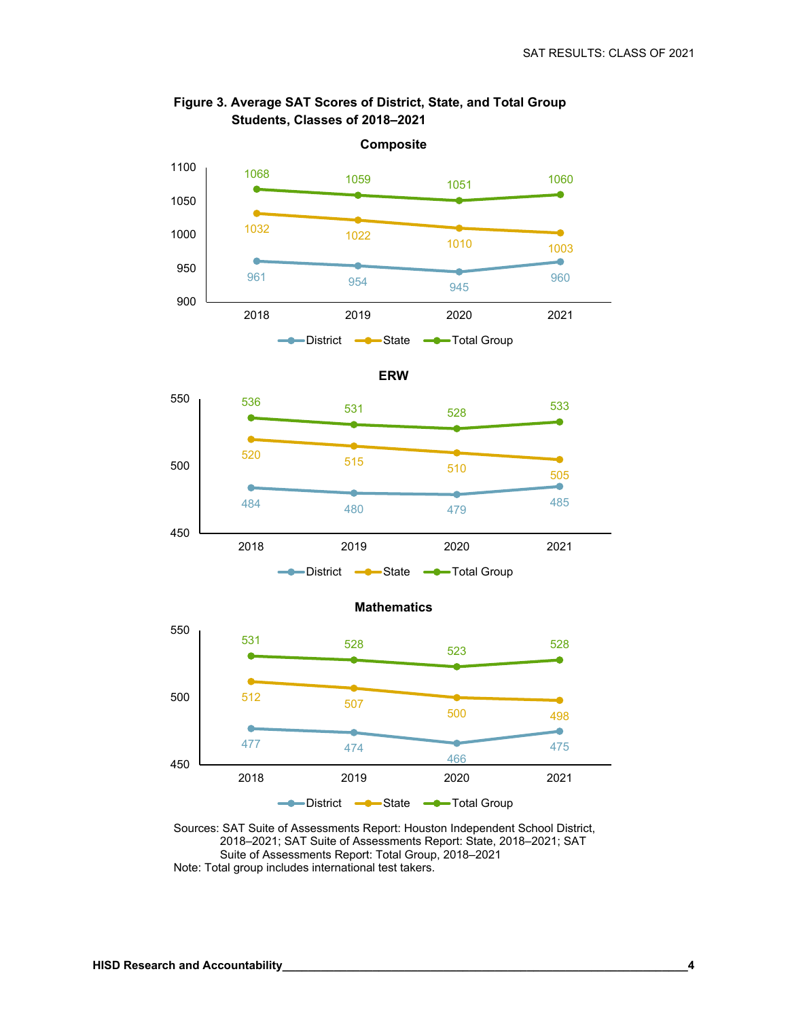

#### **Figure 3. Average SAT Scores of District, State, and Total Group Students, Classes of 2018–2021**





Sources: SAT Suite of Assessments Report: Houston Independent School District, 2018–2021; SAT Suite of Assessments Report: State, 2018–2021; SAT Suite of Assessments Report: Total Group, 2018–2021 Note: Total group includes international test takers.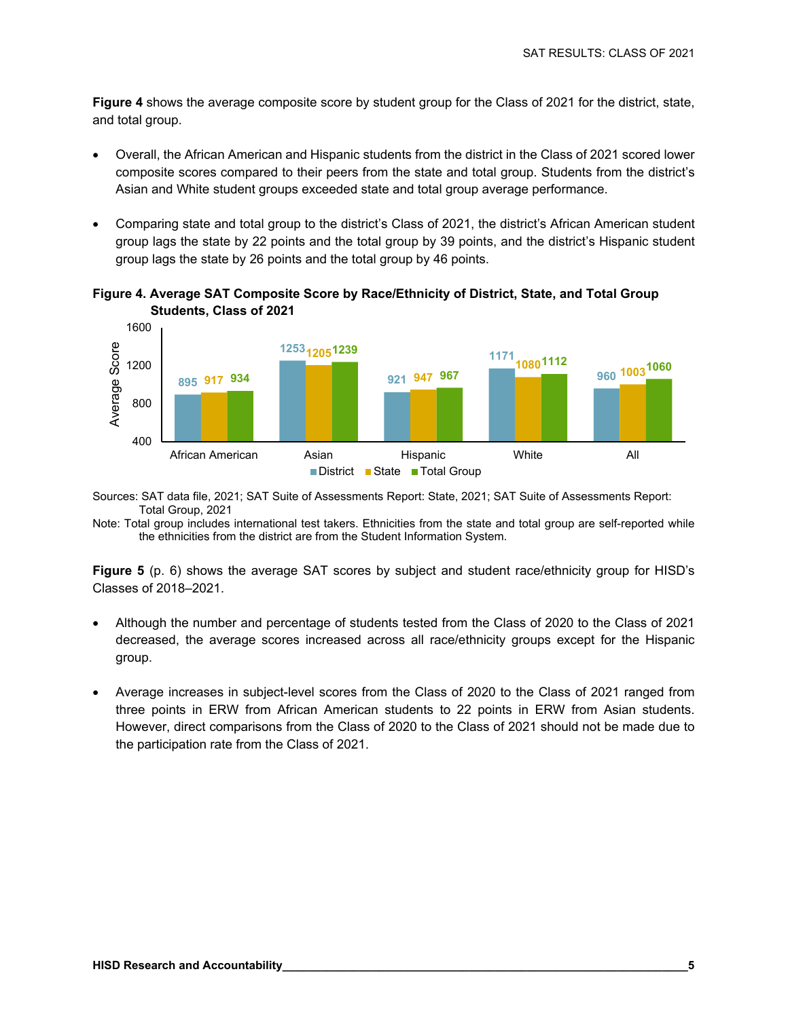**Figure 4** shows the average composite score by student group for the Class of 2021 for the district, state, and total group.

- Overall, the African American and Hispanic students from the district in the Class of 2021 scored lower composite scores compared to their peers from the state and total group. Students from the district's Asian and White student groups exceeded state and total group average performance.
- Comparing state and total group to the district's Class of 2021, the district's African American student group lags the state by 22 points and the total group by 39 points, and the district's Hispanic student group lags the state by 26 points and the total group by 46 points.





Sources: SAT data file, 2021; SAT Suite of Assessments Report: State, 2021; SAT Suite of Assessments Report: Total Group, 2021

Note: Total group includes international test takers. Ethnicities from the state and total group are self-reported while the ethnicities from the district are from the Student Information System.

**Figure 5** (p. 6) shows the average SAT scores by subject and student race/ethnicity group for HISD's Classes of 2018–2021.

- Although the number and percentage of students tested from the Class of 2020 to the Class of 2021 decreased, the average scores increased across all race/ethnicity groups except for the Hispanic group.
- Average increases in subject-level scores from the Class of 2020 to the Class of 2021 ranged from three points in ERW from African American students to 22 points in ERW from Asian students. However, direct comparisons from the Class of 2020 to the Class of 2021 should not be made due to the participation rate from the Class of 2021.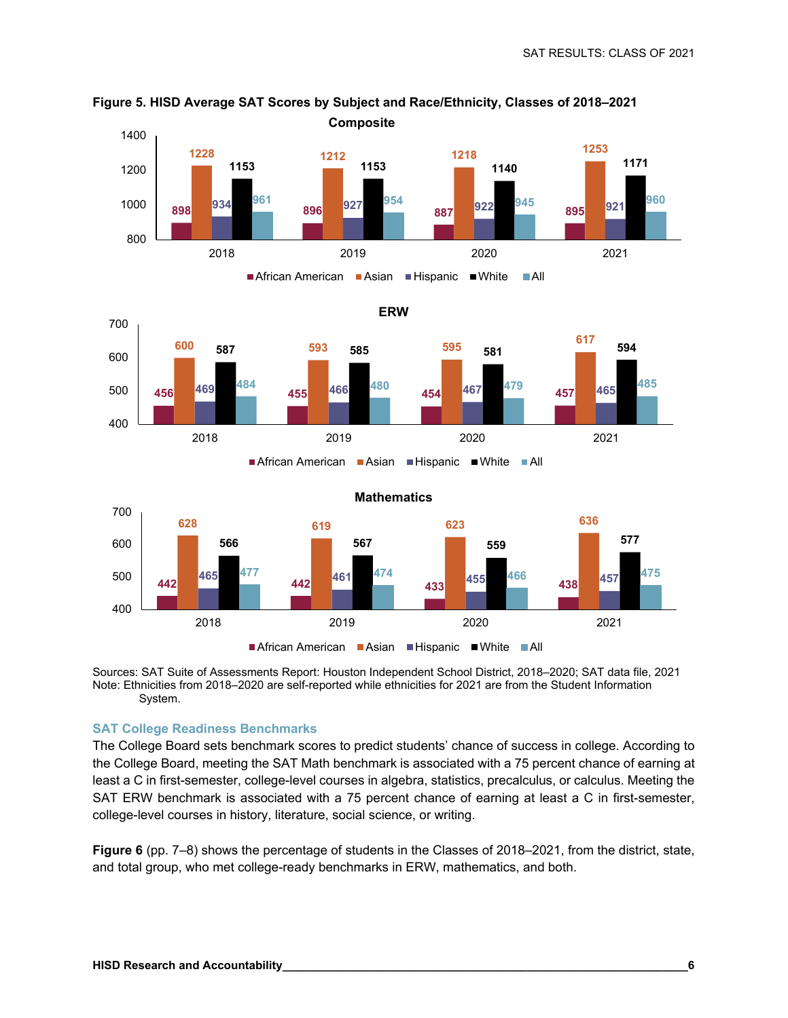

**Figure 5. HISD Average SAT Scores by Subject and Race/Ethnicity, Classes of 2018–2021 Composite**

Sources: SAT Suite of Assessments Report: Houston Independent School District, 2018–2020; SAT data file, 2021 Note: Ethnicities from 2018–2020 are self-reported while ethnicities for 2021 are from the Student Information System.

#### **SAT College Readiness Benchmarks**

The College Board sets benchmark scores to predict students' chance of success in college. According to the College Board, meeting the SAT Math benchmark is associated with a 75 percent chance of earning at least a C in first-semester, college-level courses in algebra, statistics, precalculus, or calculus. Meeting the SAT ERW benchmark is associated with a 75 percent chance of earning at least a C in first-semester, college-level courses in history, literature, social science, or writing.

**Figure 6** (pp. 7–8) shows the percentage of students in the Classes of 2018–2021, from the district, state, and total group, who met college-ready benchmarks in ERW, mathematics, and both.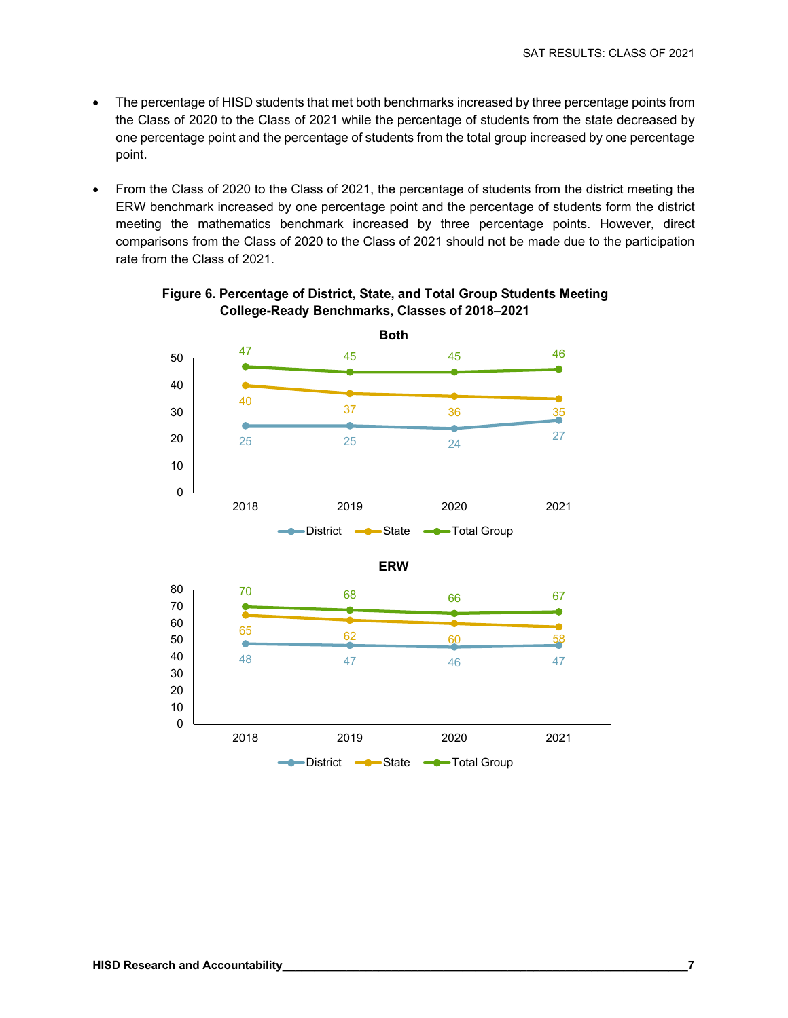- The percentage of HISD students that met both benchmarks increased by three percentage points from the Class of 2020 to the Class of 2021 while the percentage of students from the state decreased by one percentage point and the percentage of students from the total group increased by one percentage point.
- From the Class of 2020 to the Class of 2021, the percentage of students from the district meeting the ERW benchmark increased by one percentage point and the percentage of students form the district meeting the mathematics benchmark increased by three percentage points. However, direct comparisons from the Class of 2020 to the Class of 2021 should not be made due to the participation rate from the Class of 2021.



#### **Figure 6. Percentage of District, State, and Total Group Students Meeting College-Ready Benchmarks, Classes of 2018–2021**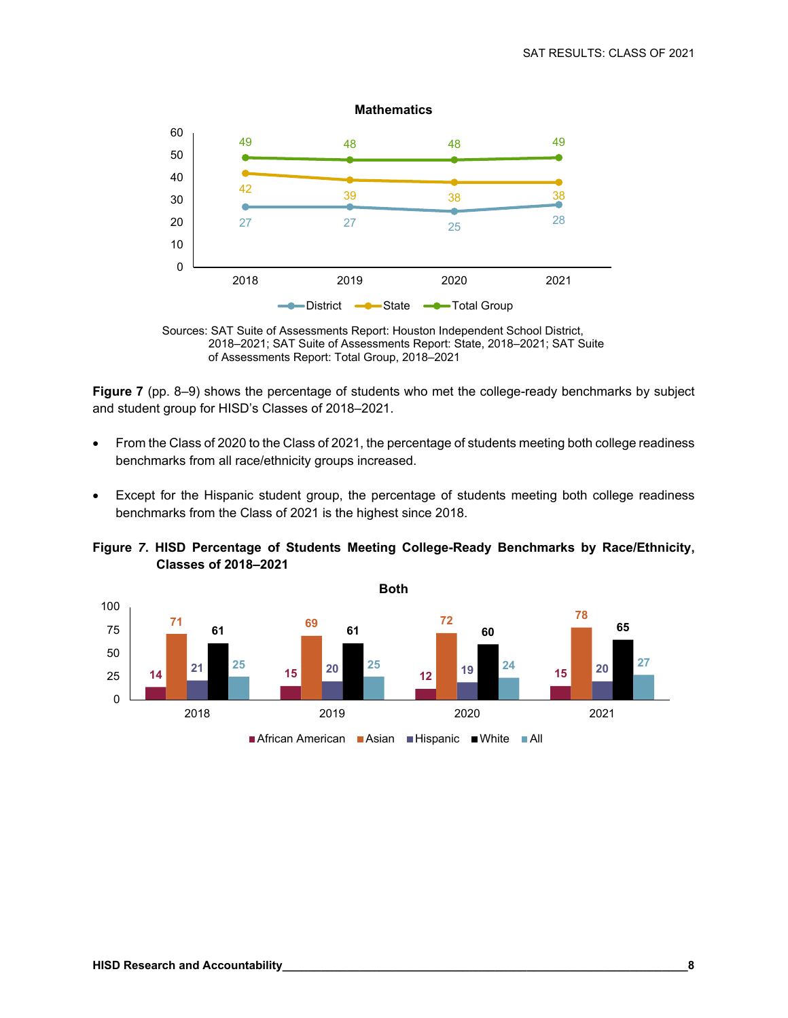



**Figure 7** (pp. 8–9) shows the percentage of students who met the college-ready benchmarks by subject and student group for HISD's Classes of 2018–2021.

- From the Class of 2020 to the Class of 2021, the percentage of students meeting both college readiness benchmarks from all race/ethnicity groups increased.
- Except for the Hispanic student group, the percentage of students meeting both college readiness benchmarks from the Class of 2021 is the highest since 2018.

**Figure** *7***. HISD Percentage of Students Meeting College-Ready Benchmarks by Race/Ethnicity, Classes of 2018–2021** 

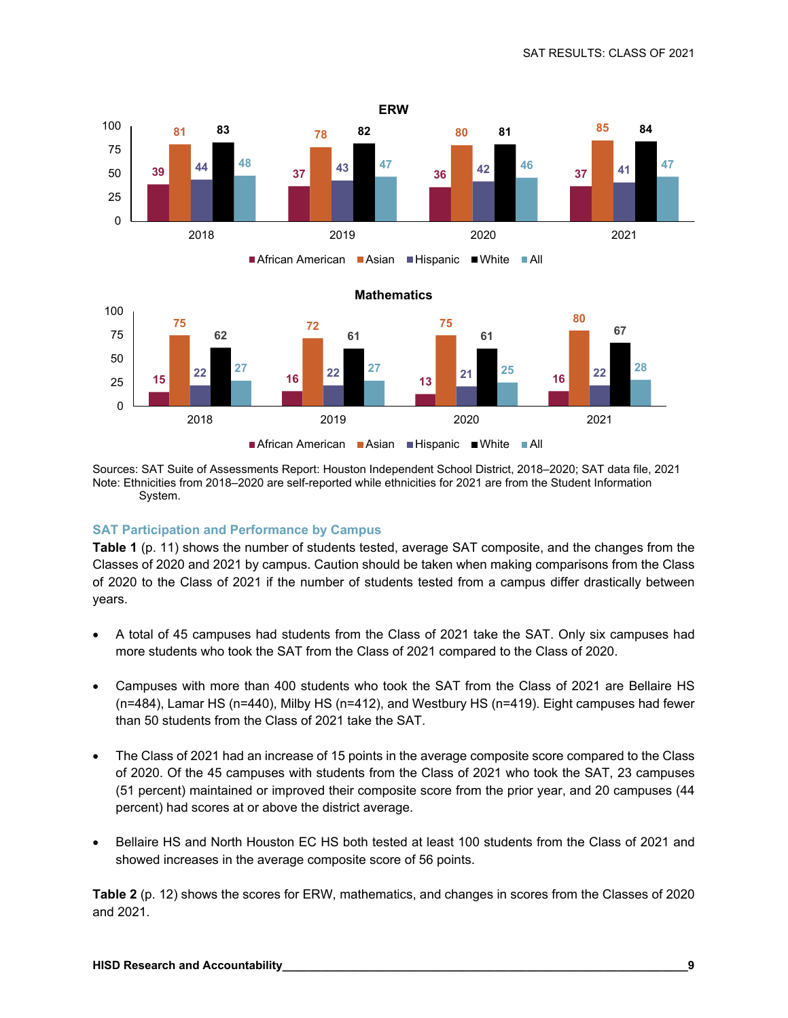



Sources: SAT Suite of Assessments Report: Houston Independent School District, 2018–2020; SAT data file, 2021 Note: Ethnicities from 2018–2020 are self-reported while ethnicities for 2021 are from the Student Information System.

#### **SAT Participation and Performance by Campus**

**Table 1** (p. 11) shows the number of students tested, average SAT composite, and the changes from the Classes of 2020 and 2021 by campus. Caution should be taken when making comparisons from the Class of 2020 to the Class of 2021 if the number of students tested from a campus differ drastically between years.

- A total of 45 campuses had students from the Class of 2021 take the SAT. Only six campuses had more students who took the SAT from the Class of 2021 compared to the Class of 2020.
- Campuses with more than 400 students who took the SAT from the Class of 2021 are Bellaire HS (n=484), Lamar HS (n=440), Milby HS (n=412), and Westbury HS (n=419). Eight campuses had fewer than 50 students from the Class of 2021 take the SAT.
- The Class of 2021 had an increase of 15 points in the average composite score compared to the Class of 2020. Of the 45 campuses with students from the Class of 2021 who took the SAT, 23 campuses (51 percent) maintained or improved their composite score from the prior year, and 20 campuses (44 percent) had scores at or above the district average.
- Bellaire HS and North Houston EC HS both tested at least 100 students from the Class of 2021 and showed increases in the average composite score of 56 points.

**Table 2** (p. 12) shows the scores for ERW, mathematics, and changes in scores from the Classes of 2020 and 2021.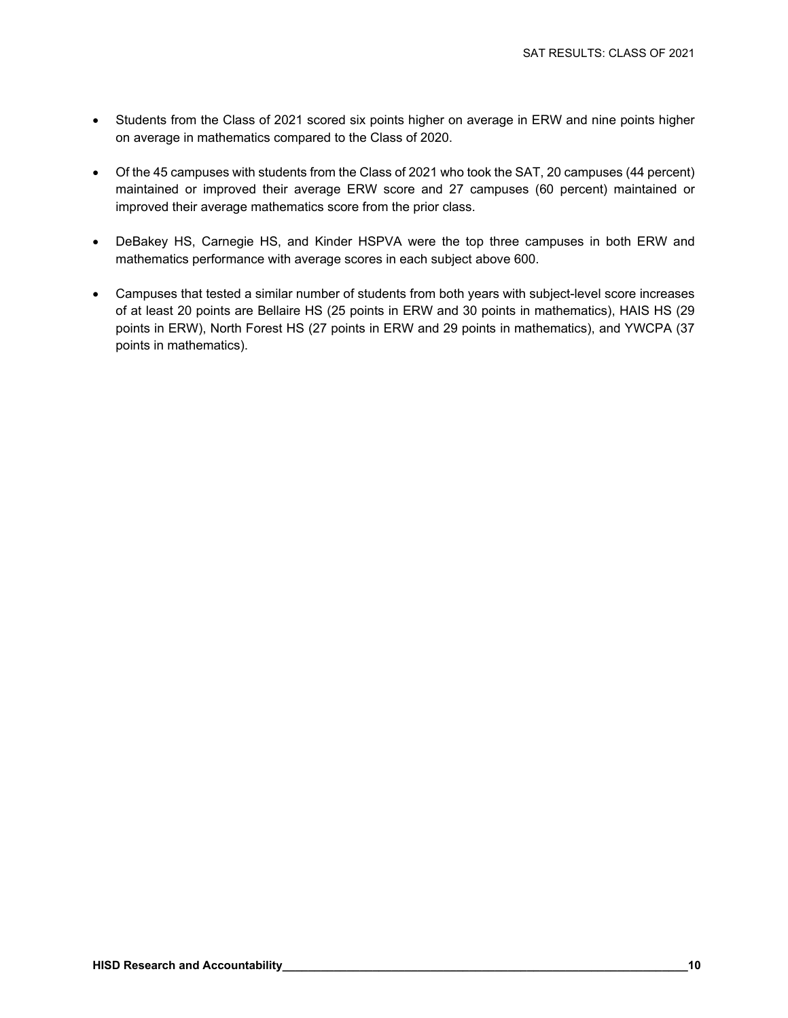- Students from the Class of 2021 scored six points higher on average in ERW and nine points higher on average in mathematics compared to the Class of 2020.
- Of the 45 campuses with students from the Class of 2021 who took the SAT, 20 campuses (44 percent) maintained or improved their average ERW score and 27 campuses (60 percent) maintained or improved their average mathematics score from the prior class.
- DeBakey HS, Carnegie HS, and Kinder HSPVA were the top three campuses in both ERW and mathematics performance with average scores in each subject above 600.
- Campuses that tested a similar number of students from both years with subject-level score increases of at least 20 points are Bellaire HS (25 points in ERW and 30 points in mathematics), HAIS HS (29 points in ERW), North Forest HS (27 points in ERW and 29 points in mathematics), and YWCPA (37 points in mathematics).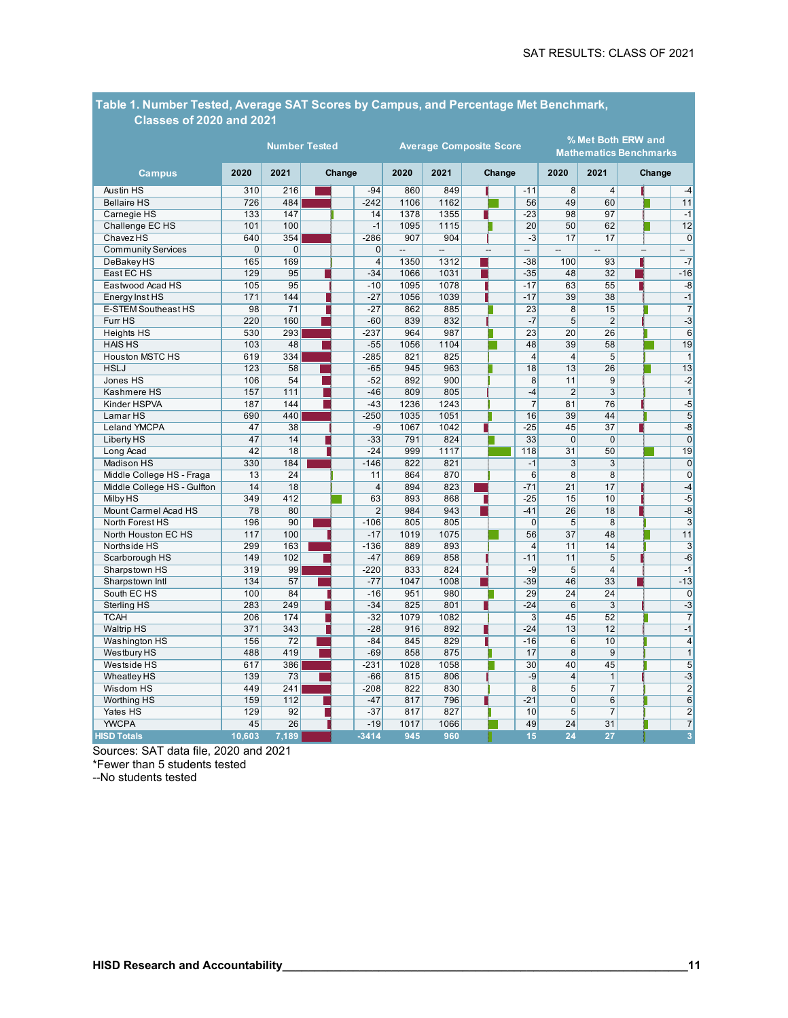| <b>Classes of 2020 and 2021</b> |                      |                 |        |  |                |                                |                          |  |      |                                                     |                 |                          |  |  |                          |
|---------------------------------|----------------------|-----------------|--------|--|----------------|--------------------------------|--------------------------|--|------|-----------------------------------------------------|-----------------|--------------------------|--|--|--------------------------|
|                                 | <b>Number Tested</b> |                 |        |  |                | <b>Average Composite Score</b> |                          |  |      | % Met Both ERW and<br><b>Mathematics Benchmarks</b> |                 |                          |  |  |                          |
| <b>Campus</b>                   | 2020                 |                 | Change |  | 2020           | 2021                           | Change                   |  | 2020 | 2021                                                |                 | Change                   |  |  |                          |
| Austin HS                       | 310                  | 216             |        |  | $-94$          | 860                            | 849                      |  |      | $-11$                                               | 8               | $\overline{4}$           |  |  | $-4$                     |
| <b>Bellaire HS</b>              | 726                  | 484             |        |  | $-242$         | 1106                           | 1162                     |  |      | 56                                                  | 49              | 60                       |  |  | 11                       |
| Carnegie HS                     | 133                  | 147             |        |  | 14             | 1378                           | 1355                     |  |      | $-23$                                               | 98              | 97                       |  |  | $-1$                     |
| Challenge EC HS                 | 101                  | 100             |        |  | $-1$           | 1095                           | 1115                     |  |      | 20                                                  | 50              | 62                       |  |  | 12                       |
| <b>Chavez HS</b>                | 640                  | 354             |        |  | $-286$         | 907                            | 904                      |  |      | $-3$                                                | 17              | 17                       |  |  | $\overline{0}$           |
| <b>Community Services</b>       | $\overline{0}$       | $\overline{0}$  |        |  | $\overline{0}$ | --                             | $\overline{\phantom{a}}$ |  |      | --                                                  | $\overline{a}$  | $\overline{\phantom{a}}$ |  |  | $\overline{\phantom{0}}$ |
| DeBakey HS                      | 165                  | 169             |        |  | $\overline{4}$ | 1350                           | 1312                     |  |      | $-38$                                               | 100             | 93                       |  |  | $-7$                     |
| East EC HS                      | 129                  | 95              |        |  | $-34$          | 1066                           | 1031                     |  |      | $-35$                                               | 48              | 32                       |  |  | $-16$                    |
| Eastwood Acad HS                | 105                  | 95              |        |  | $-10$          | 1095                           | 1078                     |  |      | $-17$                                               | 63              | 55                       |  |  | $-8$                     |
| Energy Inst HS                  | 171                  | 144             |        |  | $-27$          | 1056                           | 1039                     |  |      | $-17$                                               | 39              | 38                       |  |  | $-1$                     |
| E-STEM Southeast HS             | 98                   | $\overline{71}$ |        |  | $-27$          | 862                            | 885                      |  |      | 23                                                  | $\overline{8}$  | 15                       |  |  | $\overline{7}$           |
| Furr HS                         | 220                  | 160             |        |  | $-60$          | 839                            | 832                      |  |      | $-7$                                                | 5               | $\overline{2}$           |  |  | $-3$                     |
| <b>Heights HS</b>               | 530                  | 293             |        |  | $-237$         | 964                            | 987                      |  |      | $\overline{23}$                                     | 20              | 26                       |  |  | 6                        |
| <b>HAIS HS</b>                  | 103                  | 48              |        |  | $-55$          | 1056                           | 1104                     |  |      | 48                                                  | 39              | 58                       |  |  | 19                       |
| <b>Houston MSTC HS</b>          | 619                  | 334             |        |  | $-285$         | 821                            | 825                      |  |      | $\overline{4}$                                      | $\overline{4}$  | $5\overline{5}$          |  |  | $\mathbf{1}$             |
| <b>HSLJ</b>                     | 123                  | 58              |        |  | $-65$          | 945                            | 963                      |  |      | 18                                                  | 13              | 26                       |  |  | 13                       |
| Jones HS                        | 106                  | 54              |        |  | $-52$          | 892                            | 900                      |  |      | 8                                                   | 11              | 9                        |  |  | $-2$                     |
| Kashmere HS                     | 157                  | 111             |        |  | $-46$          | 809                            | 805                      |  |      | $-4$                                                | $\overline{2}$  | $\overline{3}$           |  |  | $\overline{1}$           |
| Kinder HSPVA                    | 187                  | 144             |        |  | $-43$          | 1236                           | 1243                     |  |      | $\overline{7}$                                      | 81              | 76                       |  |  | $-5$                     |
| Lamar HS                        | 690                  | 440             |        |  | $-250$         | 1035                           | 1051                     |  |      | 16                                                  | 39              | 44                       |  |  | 5                        |
| Leland YMCPA                    | 47                   | 38              |        |  | $-9$           | 1067                           | 1042                     |  |      | $-25$                                               | 45              | 37                       |  |  | $-8$                     |
| Liberty HS                      | 47                   | 14              |        |  | $-33$          | 791                            | 824                      |  |      | 33                                                  | $\Omega$        | $\mathbf{0}$             |  |  | $\mathbf 0$              |
| Long Acad                       | 42                   | 18              |        |  | $-24$          | 999                            | 1117                     |  |      | 118                                                 | 31              | 50                       |  |  | 19                       |
| Madison HS                      | 330                  | 184             |        |  | $-146$         | 822                            | 821                      |  |      | $-1$                                                | 3               | 3                        |  |  | $\Omega$                 |
| Middle College HS - Fraga       | 13                   | $\overline{24}$ |        |  | 11             | 864                            | 870                      |  |      | 6                                                   | $\overline{8}$  | $\overline{8}$           |  |  | $\Omega$                 |
| Middle College HS - Gulfton     | $\overline{14}$      | 18              |        |  | $\overline{4}$ | 894                            | 823                      |  |      | $-71$                                               | $\overline{21}$ | 17                       |  |  | $-4$                     |
| <b>Milby HS</b>                 | 349                  | 412             |        |  | 63             | 893                            | 868                      |  |      | $-25$                                               | 15              | 10                       |  |  | -5                       |
| Mount Carmel Acad HS            | 78                   | 80              |        |  | $\overline{2}$ | 984                            | 943                      |  |      | $-41$                                               | 26              | 18                       |  |  | -8                       |
| North Forest HS                 | 196                  | 90              |        |  | $-106$         | 805                            | 805                      |  |      | $\mathbf 0$                                         | 5               | 8                        |  |  | 3                        |
| North Houston EC HS             | 117                  | 100             |        |  | $-17$          | 1019                           | 1075                     |  |      | 56                                                  | 37              | 48                       |  |  | 11                       |
| Northside HS                    | 299                  | 163             |        |  | $-136$         | 889                            | 893                      |  |      | $\overline{4}$                                      | 11              | 14                       |  |  | $\overline{3}$           |
| Scarborough HS                  | 149                  | 102             |        |  | $-47$          | 869                            | 858                      |  |      | $-11$                                               | 11              | $\overline{5}$           |  |  | $-6$                     |
| Sharpstown HS                   | 319                  | 99              |        |  | $-220$         | 833                            | 824                      |  |      | $-9$                                                | $\overline{5}$  | $\overline{4}$           |  |  | $-1$                     |
| Sharpstown Intl                 | 134                  | 57              |        |  | $-77$          | 1047                           | 1008                     |  |      | $-39$                                               | 46              | 33                       |  |  | $-13$                    |
| South EC HS                     | 100                  | 84              |        |  | $-16$          | 951                            | 980                      |  |      | 29                                                  | $\overline{24}$ | $\overline{24}$          |  |  | $\mathbf 0$              |
| Sterling HS                     | 283                  | 249             |        |  | $-34$          | 825                            | 801                      |  |      | $-24$                                               | $\overline{6}$  | $\overline{3}$           |  |  | $-3$                     |
| <b>TCAH</b>                     | 206                  | 174             |        |  | $-32$          | 1079                           | 1082                     |  |      | $\overline{3}$                                      | 45              | 52                       |  |  | $\overline{7}$           |
| <b>Waltrip HS</b>               | 371                  | 343             |        |  | $-28$          | 916                            | 892                      |  |      | $-24$                                               | 13              | 12                       |  |  | $-1$                     |
| Washington HS                   | 156                  | 72              |        |  | $-84$          | 845                            | 829                      |  |      | $-16$                                               | 6               | 10                       |  |  | 4                        |
| <b>Westbury HS</b>              | 488                  | 419             |        |  | $-69$          | 858                            | 875                      |  |      | 17                                                  | $\overline{8}$  | 9                        |  |  | $\overline{1}$           |
| Westside HS                     | 617                  | 386             |        |  | $-231$         | 1028                           | 1058                     |  |      | 30                                                  | 40              | 45                       |  |  | 5                        |
| <b>Wheatley HS</b>              | 139                  | 73              |        |  | $-66$          | 815                            | 806                      |  |      | $-9$                                                | $\overline{4}$  | $\mathbf{1}$             |  |  | $-3$                     |
| Wisdom HS                       | 449                  | 241             |        |  | $-208$         | 822                            | 830                      |  |      | $\overline{8}$                                      | 5               | $\overline{7}$           |  |  | $\overline{2}$           |
| Worthing HS                     | 159                  | 112             |        |  | $-47$          | 817                            | 796                      |  |      | $-21$                                               | $\Omega$        | $\,6$                    |  |  | 6                        |
| Yates HS                        | 129                  | 92              |        |  | $-37$          | 817                            | 827                      |  |      | 10                                                  | 5               | $\overline{7}$           |  |  | $\overline{2}$           |
| <b>YWCPA</b>                    | 45                   | 26              |        |  | $-19$          | 1017                           | 1066                     |  |      | 49                                                  | $\overline{24}$ | $\overline{31}$          |  |  | $\overline{7}$           |
| <b>HISD Totals</b>              | 10.603               | 7.189           |        |  | $-3414$        | 945                            | 960                      |  |      | 15                                                  | 24              | 27                       |  |  | 3                        |

# **Table 1. Number Tested, Average SAT Scores by Campus, and Percentage Met Benchmark,**

Sources: SAT data file, 2020 and 2021

\*Fewer than 5 students tested

--No students tested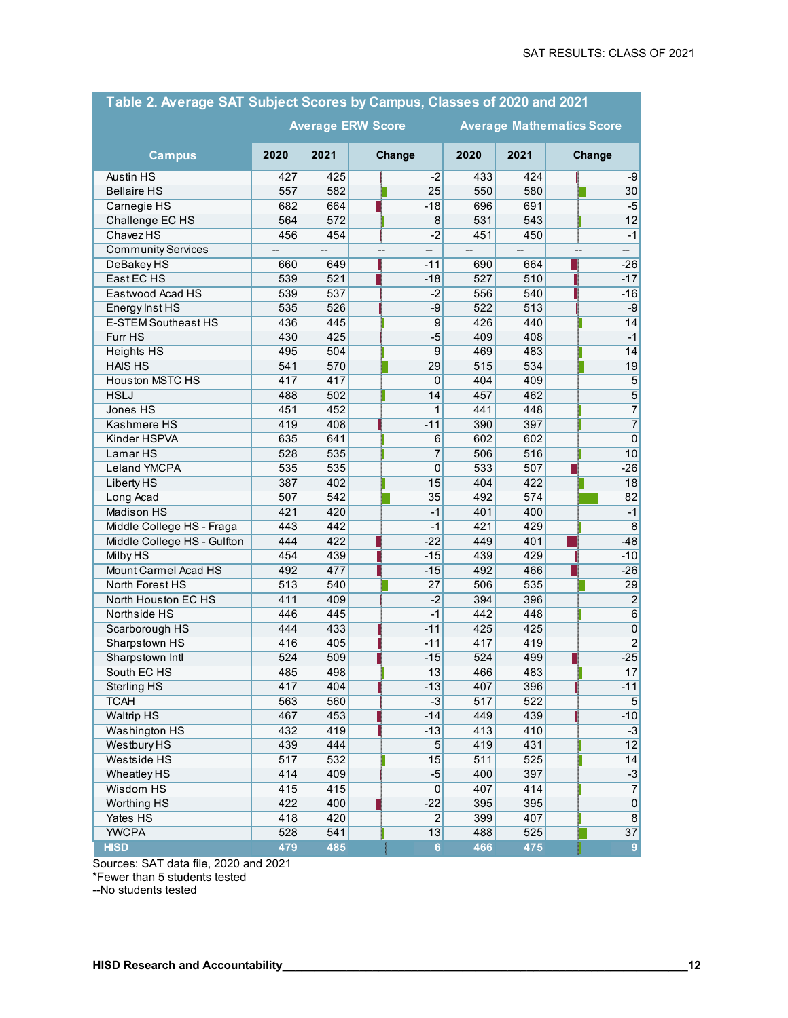| Table 2. Average SAT Subject Scores by Campus, Classes of 2020 and 2021 |                  |                  |    |                 |      |      |        |                |  |  |  |  |
|-------------------------------------------------------------------------|------------------|------------------|----|-----------------|------|------|--------|----------------|--|--|--|--|
| <b>Average ERW Score</b><br><b>Average Mathematics Score</b>            |                  |                  |    |                 |      |      |        |                |  |  |  |  |
| <b>Campus</b>                                                           | 2020             | 2021<br>Change   |    |                 | 2020 | 2021 | Change |                |  |  |  |  |
| Austin HS                                                               | 427              | 425              |    | $-2$            | 433  | 424  |        | -9             |  |  |  |  |
| <b>Bellaire HS</b>                                                      | 557              | 582              |    | 25              | 550  | 580  |        | 30             |  |  |  |  |
| Carnegie HS                                                             | 682              | 664              |    | $-18$           | 696  | 691  |        | $-5$           |  |  |  |  |
| Challenge EC HS                                                         | 564              | $\overline{572}$ |    | 8               | 531  | 543  |        | 12             |  |  |  |  |
| ChavezHS                                                                | 456              | 454              |    | $-2$            | 451  | 450  |        | $-1$           |  |  |  |  |
| <b>Community Services</b>                                               | --               |                  | -- |                 | --   | --   |        | --             |  |  |  |  |
| <b>DeBakeyHS</b>                                                        | 660              | 649              |    | -11             | 690  | 664  |        | $-26$          |  |  |  |  |
| East EC HS                                                              | 539              | 521              |    | $-18$           | 527  | 510  |        | $-17$          |  |  |  |  |
| Eastwood Acad HS                                                        | 539              | 537              |    | $-2$            | 556  | 540  |        | $-16$          |  |  |  |  |
| Energy Inst HS                                                          | 535              | 526              |    | $-9$            | 522  | 513  |        | $-9$           |  |  |  |  |
| <b>E-STEM Southeast HS</b>                                              | 436              | 445              |    | $\vert 9 \vert$ | 426  | 440  |        | 14             |  |  |  |  |
| Furr HS                                                                 | 430              | 425              |    | $-5$            | 409  | 408  |        | $-1$           |  |  |  |  |
| <b>Heights HS</b>                                                       | 495              | 504              |    | 9               | 469  | 483  |        | 14             |  |  |  |  |
| <b>HAIS HS</b>                                                          | 541              | 570              |    | 29              | 515  | 534  |        | 19             |  |  |  |  |
| <b>Houston MSTC HS</b>                                                  | 417              | 417              |    | 0               | 404  | 409  |        | $\overline{5}$ |  |  |  |  |
| <b>HSLJ</b>                                                             | 488              | 502              |    | 14              | 457  | 462  |        | $\overline{5}$ |  |  |  |  |
| Jones HS                                                                | 451              | 452              |    | 1               | 441  | 448  |        | $\overline{7}$ |  |  |  |  |
| <b>Kashmere HS</b>                                                      | 419              | 408              |    | $-11$           | 390  | 397  |        | $\overline{7}$ |  |  |  |  |
| Kinder HSPVA                                                            | 635              | 641              |    | 6               | 602  | 602  |        | $\pmb{0}$      |  |  |  |  |
| Lamar HS                                                                | 528              | 535              |    | 7               | 506  | 516  |        | 10             |  |  |  |  |
| Leland YMCPA                                                            | 535              | 535              |    | 0               | 533  | 507  |        | $-26$          |  |  |  |  |
| <b>Liberty HS</b>                                                       | 387              | 402              |    | 15              | 404  | 422  |        | 18             |  |  |  |  |
| Long Acad                                                               | 507              | 542              |    | 35              | 492  | 574  |        | 82             |  |  |  |  |
| Madison HS                                                              | 421              | 420              |    | $-1$            | 401  | 400  |        | $-1$           |  |  |  |  |
| Middle College HS - Fraga                                               | 443              | 442              |    | $-1$            | 421  | 429  |        | 8              |  |  |  |  |
| Middle College HS - Gulfton                                             | 444              | 422              |    | $-22$           | 449  | 401  |        | $-48$          |  |  |  |  |
| <b>Milby HS</b>                                                         | 454              | 439              |    | $-15$           | 439  | 429  |        | $-10$          |  |  |  |  |
| Mount Carmel Acad HS                                                    | 492              | 477              |    | $-15$           | 492  | 466  |        | $-26$          |  |  |  |  |
| North Forest HS                                                         | 513              | 540              |    | 27              | 506  | 535  |        | 29             |  |  |  |  |
| North Houston EC HS                                                     | 411              | 409              |    | $-2$            | 394  | 396  |        | $\vert$ 2      |  |  |  |  |
| Northside HS                                                            | 446              | 445              |    | $-1$            | 442  | 448  |        | 6              |  |  |  |  |
| Scarborough HS                                                          | 444              | 433              |    | $-11$           | 425  | 425  |        | $\overline{0}$ |  |  |  |  |
| Sharpstown HS                                                           | 416              | 405              |    | $-11$           | 417  | 419  |        | $\overline{2}$ |  |  |  |  |
| Sharpstown Intl                                                         | 524              | 509              |    | $-15$           | 524  | 499  |        | $-25$          |  |  |  |  |
| South EC HS                                                             | 485              | 498              |    | $\overline{13}$ | 466  | 483  |        | 17             |  |  |  |  |
| <b>Sterling HS</b>                                                      | 417              | 404              |    | $-13$           | 407  | 396  |        | $-11$          |  |  |  |  |
| <b>TCAH</b>                                                             | 563              | 560              |    | $-3$            | 517  | 522  |        | 5 <sub>l</sub> |  |  |  |  |
| <b>Waltrip HS</b>                                                       | 467              | 453              |    | $-14$           | 449  | 439  |        | $-10$          |  |  |  |  |
| <b>Washington HS</b>                                                    | 432              | 419              |    | $-13$           | 413  | 410  |        | $-3$           |  |  |  |  |
| <b>Westbury HS</b>                                                      | 439              | 444              |    | $\overline{5}$  | 419  | 431  |        | 12             |  |  |  |  |
| <b>Westside HS</b>                                                      | $\overline{517}$ | 532              |    | 15              | 511  | 525  |        | 14             |  |  |  |  |
| <b>Wheatley HS</b>                                                      | 414              | 409              |    | $-5$            | 400  | 397  |        | $-3$           |  |  |  |  |
| <b>Wisdom HS</b>                                                        | 415              | 415              |    | $\overline{0}$  | 407  | 414  |        | $\overline{7}$ |  |  |  |  |
| <b>Worthing HS</b>                                                      | 422              | 400              |    | $-22$           | 395  | 395  |        | $\overline{0}$ |  |  |  |  |
| Yates HS                                                                | 418              | 420              |    | $\overline{2}$  | 399  | 407  |        | $\overline{8}$ |  |  |  |  |
| <b>YWCPA</b>                                                            | 528              | 541              |    | 13              | 488  | 525  |        | 37             |  |  |  |  |
| <b>HISD</b>                                                             | 479              | 485              |    | $6\phantom{a}$  | 466  | 475  |        | $\overline{9}$ |  |  |  |  |

Sources: SAT data file, 2020 and 2021

\*Fewer than 5 students tested

--No students tested